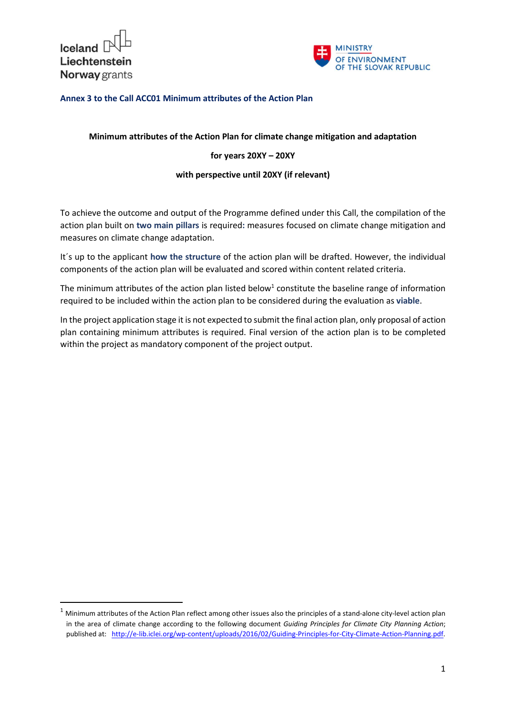

-



# Annex 3 to the Call ACC01 Minimum attributes of the Action Plan

## Minimum attributes of the Action Plan for climate change mitigation and adaptation

## for years 20XY – 20XY

#### with perspective until 20XY (if relevant)

To achieve the outcome and output of the Programme defined under this Call, the compilation of the action plan built on two main pillars is required: measures focused on climate change mitigation and measures on climate change adaptation.

It´s up to the applicant how the structure of the action plan will be drafted. However, the individual components of the action plan will be evaluated and scored within content related criteria.

The minimum attributes of the action plan listed below<sup>1</sup> constitute the baseline range of information required to be included within the action plan to be considered during the evaluation as viable.

In the project application stage it is not expected to submit the final action plan, only proposal of action plan containing minimum attributes is required. Final version of the action plan is to be completed within the project as mandatory component of the project output.

 $1$  Minimum attributes of the Action Plan reflect among other issues also the principles of a stand-alone city-level action plan in the area of climate change according to the following document Guiding Principles for Climate City Planning Action; published at: http://e-lib.iclei.org/wp-content/uploads/2016/02/Guiding-Principles-for-City-Climate-Action-Planning.pdf.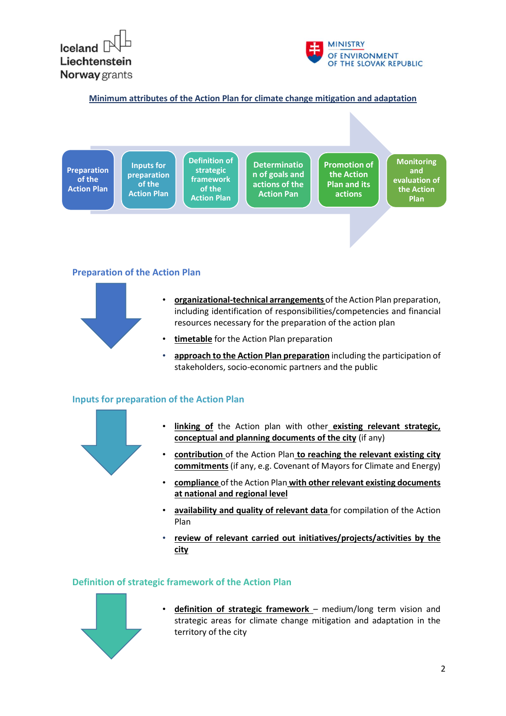



Minimum attributes of the Action Plan for climate change mitigation and adaptation



## Preparation of the Action Plan



- organizational-technical arrangements of the Action Plan preparation, including identification of responsibilities/competencies and financial resources necessary for the preparation of the action plan
- timetable for the Action Plan preparation
- approach to the Action Plan preparation including the participation of stakeholders, socio-economic partners and the public

#### Inputs for preparation of the Action Plan



- linking of the Action plan with other existing relevant strategic, conceptual and planning documents of the city (if any)
- contribution of the Action Plan to reaching the relevant existing city commitments (if any, e.g. Covenant of Mayors for Climate and Energy)
- compliance of the Action Plan with other relevant existing documents at national and regional level
- availability and quality of relevant data for compilation of the Action Plan
- review of relevant carried out initiatives/projects/activities by the city

#### Definition of strategic framework of the Action Plan



• definition of strategic framework – medium/long term vision and strategic areas for climate change mitigation and adaptation in the territory of the city